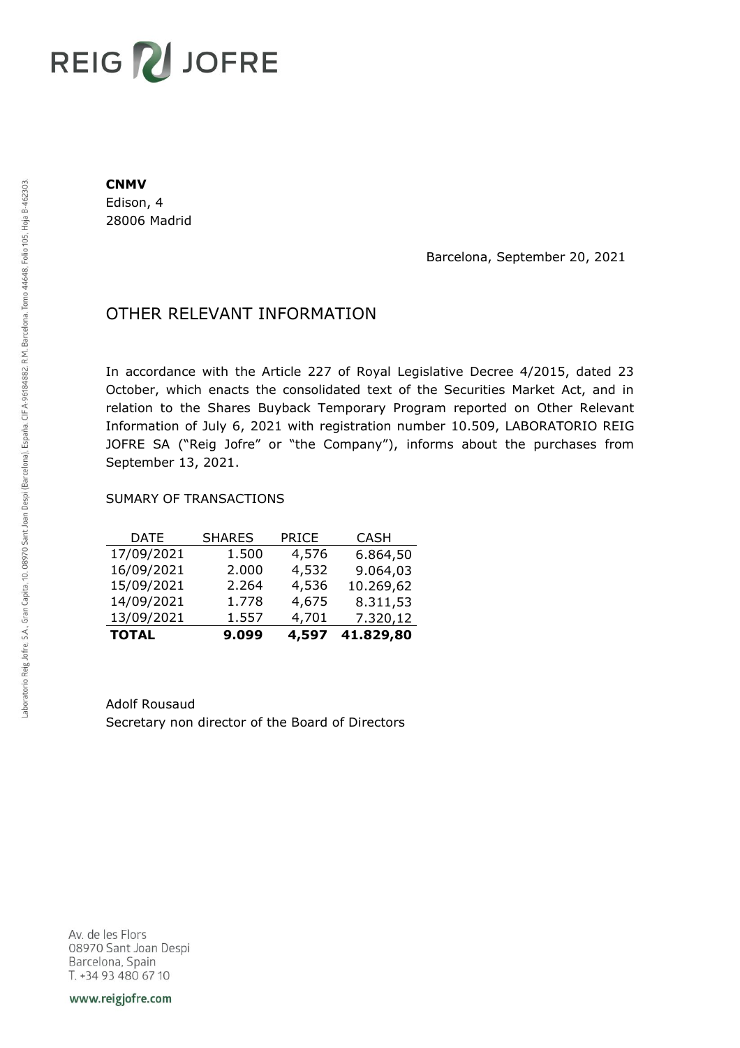# REIG V JOFRE

#### **CNMV**

Edison, 4 28006 Madrid

Barcelona, September 20, 2021

## OTHER RELEVANT INFORMATION

In accordance with the Article 227 of Royal Legislative Decree 4/2015, dated 23 October, which enacts the consolidated text of the Securities Market Act, and in relation to the Shares Buyback Temporary Program reported on Other Relevant Information of July 6, 2021 with registration number 10.509, LABORATORIO REIG JOFRE SA ("Reig Jofre" or "the Company"), informs about the purchases from September 13, 2021.

### SUMARY OF TRANSACTIONS

| <b>TOTAL</b> | 9.099         | 4,597        | 41.829,80   |
|--------------|---------------|--------------|-------------|
| 13/09/2021   | 1.557         | 4,701        | 7.320,12    |
| 14/09/2021   | 1.778         | 4,675        | 8.311,53    |
| 15/09/2021   | 2.264         | 4,536        | 10.269,62   |
| 16/09/2021   | 2.000         | 4,532        | 9.064,03    |
| 17/09/2021   | 1.500         | 4,576        | 6.864,50    |
| DATE         | <b>SHARES</b> | <b>PRICE</b> | <b>CASH</b> |

Adolf Rousaud Secretary non director of the Board of Directors

Av. de les Flors 08970 Sant Joan Despi Barcelona, Spain T. +34 93 480 67 10

www.reigjofre.com